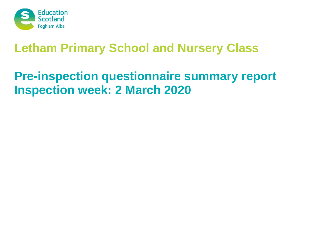

## **Letham Primary School and Nursery Class**

# **Pre-inspection questionnaire summary report Inspection week: 2 March 2020**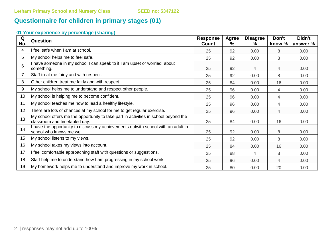### **Questionnaire for children in primary stages (01)**

### **01 Your experience by percentage (sharing)**

| Q<br>No. | Question                                                                                                             | <b>Response</b><br><b>Count</b> | <b>Agree</b><br>℅ | <b>Disagree</b><br>% | Don't<br>know % | Didn't<br>answer % |
|----------|----------------------------------------------------------------------------------------------------------------------|---------------------------------|-------------------|----------------------|-----------------|--------------------|
| 4        | I feel safe when I am at school.                                                                                     | 25                              | 92                | 0.00                 | 8               | 0.00               |
| 5        | My school helps me to feel safe.                                                                                     | 25                              | 92                | 0.00                 | 8               | 0.00               |
| 6        | I have someone in my school I can speak to if I am upset or worried about<br>something.                              | 25                              | 92                | 4                    | 4               | 0.00               |
|          | Staff treat me fairly and with respect.                                                                              | 25                              | 92                | 0.00                 | 8               | 0.00               |
| 8        | Other children treat me fairly and with respect.                                                                     | 25                              | 84                | 0.00                 | 16              | 0.00               |
| 9        | My school helps me to understand and respect other people.                                                           | 25                              | 96                | 0.00                 | 4               | 0.00               |
| 10       | My school is helping me to become confident.                                                                         | 25                              | 96                | 0.00                 | 4               | 0.00               |
| 11       | My school teaches me how to lead a healthy lifestyle.                                                                | 25                              | 96                | 0.00                 | 4               | 0.00               |
| 12       | There are lots of chances at my school for me to get regular exercise.                                               | 25                              | 96                | 0.00                 | 4               | 0.00               |
| 13       | My school offers me the opportunity to take part in activities in school beyond the<br>classroom and timetabled day. | 25                              | 84                | 0.00                 | 16              | 0.00               |
| 14       | I have the opportunity to discuss my achievements outwith school with an adult in<br>school who knows me well.       | 25                              | 92                | 0.00                 | 8               | 0.00               |
| 15       | My school listens to my views.                                                                                       | 25                              | 92                | 0.00                 | 8               | 0.00               |
| 16       | My school takes my views into account.                                                                               | 25                              | 84                | 0.00                 | 16              | 0.00               |
| 17       | I feel comfortable approaching staff with questions or suggestions.                                                  | 25                              | 88                | 4                    | 8               | 0.00               |
| 18       | Staff help me to understand how I am progressing in my school work.                                                  | 25                              | 96                | 0.00                 | 4               | 0.00               |
| 19       | My homework helps me to understand and improve my work in school.                                                    | 25                              | 80                | 0.00                 | 20              | 0.00               |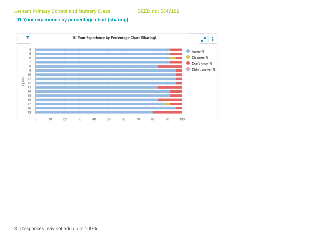#### **01 Your experience by percentage chart (sharing)**